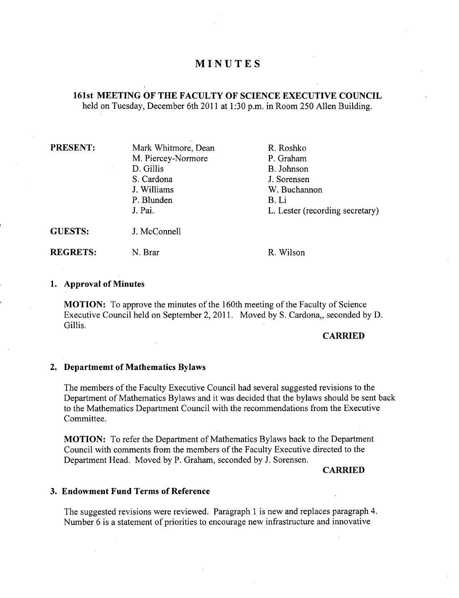# **MINUTES**

## **161st MEETING OF THE FACULTY OF SCIENCE EXECUTIVE COUNCIL**  held on Tuesday, December 6th 2011 at 1:30 p.m. in Room 250 Allen Building.

| <b>PRESENT:</b> | Mark Whitmore, Dean | R. Roshko                       |
|-----------------|---------------------|---------------------------------|
|                 | M. Piercey-Normore  | P. Graham                       |
|                 | D. Gillis           | B. Johnson                      |
|                 | S. Cardona          | J. Sorensen                     |
|                 | J. Williams         | W. Buchannon                    |
|                 | P. Blunden          | B. Li                           |
|                 | J. Pai.             | L. Lester (recording secretary) |
| <b>GUESTS:</b>  | J. McConnell        |                                 |
| <b>REGRETS:</b> | N. Brar             | R. Wilson                       |

#### **Approval of Minutes**

**MOTION:** To approve the minutes of the 160th meeting of the Faculty of Science Executive Council held on September 2, 2011. Moved by S. Cardona, seconded by D. Gillis.

## **CARRIED**

### **Departmemt of Mathematics Bylaws**

The members of the Faculty Executive Council had several suggested revisions to the Department of Mathematics Bylaws and it was decided that the bylaws should be sent back to the Mathematics Department Council with the recommendations from the Executive Committee.

**MOTION:** To refer the Department of Mathematics Bylaws back to the Department Council with comments from the members of the Faculty Executive directed to the Department Head. Moved by P. Graham, seconded by J. Sorensen.

#### **CARRIED**

## **Endowment Fund Terms of Reference**

The suggested revisions were reviewed. Paragraph 1 is new and replaces paragraph 4. Number 6 is a statement of priorities to encourage new infrastructure and innovative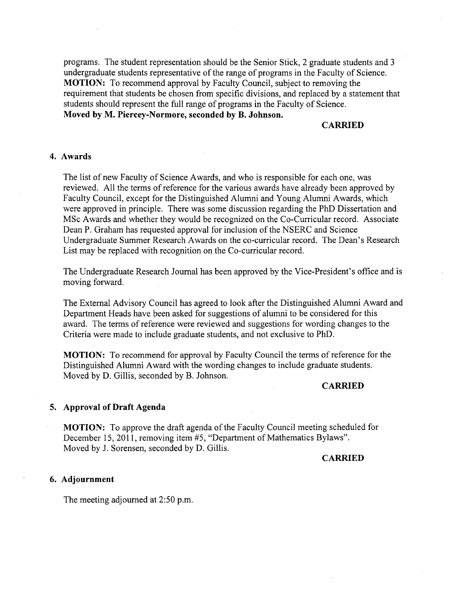programs. The student representation should be the Senior Stick, 2 graduate students and 3 undergraduate students representative of the range of programs in the Faculty of Science. **MOTION:** To recommend approval by Faculty Council, subject to removing the requirement that students be chosen from specific divisions, and replaced by a statement that students should represent the full range of programs in the Faculty of Science. **Moved by M. Piercey-Normore, seconded by B. Johnson.** 

## **CARRIED**

### **Awards**

The list of new Faculty of Science Awards, and who is responsible for each one, was reviewed. All the terms of reference for the various awards have already been approved by Faculty Council, except for the Distinguished Alumni and Young Alumni Awards, which were approved in principle. There was some discussion regarding the PhD Dissertation and MSc Awards and whether they would be recognized on the Co-Curricular record. Associate Dean P. Graham has requested approval for inclusion of the NSERC and Science Undergraduate Summer Research Awards on the co-curricular record. The Dean's Research List may be replaced with recognition on the Co-curricular record.

The Undergraduate Research Journal has been approved by the Vice-President's office and is moving forward.

The External Advisory Council has agreed to look after the Distinguished Alumni Award and Department Heads have been asked for suggestions of alumni to be considered for this award. The terms of reference were reviewed and suggestions for wording changes to the Criteria were made to include graduate students, and not exclusive to PhD.

**MOTION:** To recommend for approval by Faculty Council the terms of reference for the Distinguished Alumni Award with the wording changes to include graduate students. Moved by D. Gillis, seconded by B. Johnson.

**CARRIED** 

### **Approval of Draft Agenda**

**MOTION:** To approve the draft agenda of the Faculty Council meeting scheduled for December 15, 2011, removing item #5, "Department of Mathematics Bylaws". Moved by J. Sorensen, seconded by D. Gillis.

**CARRIED** 

## **Adjournment**

The meeting adjourned at 2:50 p.m.